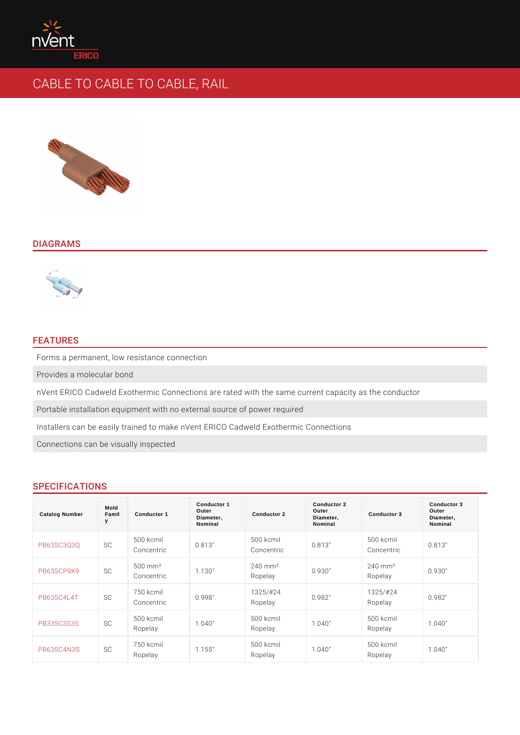# CABLE TO CABLE TO CABLE, RAIL

#### DIAGRAMS

#### FEATURES

Forms a permanent, low resistance connection

Provides a molecular bond

nVent ERICO Cadweld Exothermic Connections are rated with the same current o Portable installation equipment with no external source of power required Installers can be easily trained to make nVent ERICO Cadweld Exothermic Conn Connections can be visually inspected

### SPECIFICATIONS

| Catalog Number      | Mold<br>Famil<br>у | Conductor 1                       | Conductor 1<br>Outer<br>Diameter,<br>Nominal | Conductor 2                       | Conductor 2<br>Outer<br>Diameter,<br>Nominal | Conductor 3                       | Conductor 3<br>Outer<br>Diameter,<br>Nominal |
|---------------------|--------------------|-----------------------------------|----------------------------------------------|-----------------------------------|----------------------------------------------|-----------------------------------|----------------------------------------------|
| PB63SC3Q3QSC        |                    | 500 kcmil<br>Concentric           | 0.813"                                       | 500 kcmil<br>Concentric           | 0.813"                                       | 500 kcmil<br>Concentric           | 0.813"                                       |
| PB63SCP9X9SC        |                    | 500 mm <sup>2</sup><br>Concentric | 1.130"                                       | $240$ m m <sup>2</sup><br>Ropelay | 0.930"                                       | $240$ m m <sup>2</sup><br>Ropelay | 0.930"                                       |
| PB63SC4L4TSC        |                    | 750 kcmil<br>Concentric           | 0.998"                                       | $1325/$ # 24<br>Ropelay           | 0.982"                                       | $1325/$ # 24<br>Ropelay           | 0.982"                                       |
| PB33SC3S3SSC        |                    | 500 kcmil<br>Ropelay              | 1.040"                                       | 500 kcmil<br>Ropelay              | 1.040"                                       | 500 kcmil<br>Ropelay              | 1.040"                                       |
| <b>PB63SC4N3SSC</b> |                    | 750 kcmil<br>Ropelay              | 1.155"                                       | 500 kcmil<br>Ropelay              | 1.040"                                       | 500 kcmil<br>Ropelay              | 1.040"                                       |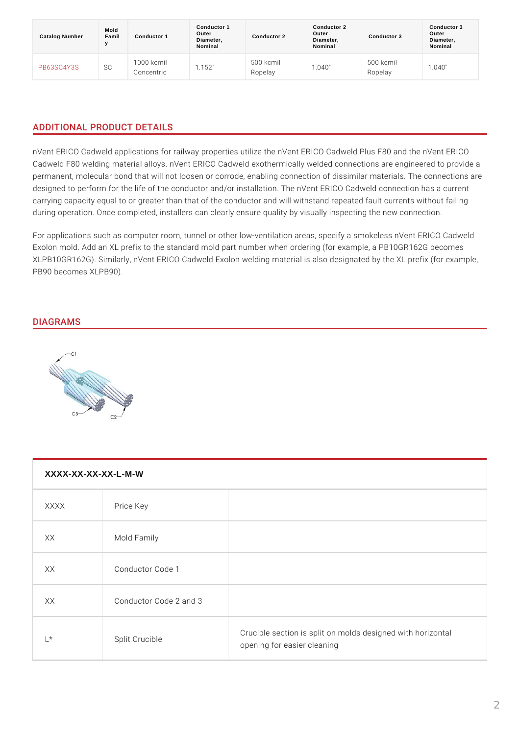| Catalog Number | Mold<br>Famil<br>$\mathbf v$ | Conductor 1              | Conductor 1<br>Outer<br>Diameter,<br>Nominal | Conductor 2          | Conductor 2<br>Outer<br>Diameter,<br>Nominal | Conductor 3          | Conductor 3<br>Outer<br>Diameter,<br>Nominal |
|----------------|------------------------------|--------------------------|----------------------------------------------|----------------------|----------------------------------------------|----------------------|----------------------------------------------|
| PB63SC4Y3SSC   |                              | 1000 kcmil<br>Concentric | 1.152"                                       | 500 kcmil<br>Ropelay | 1.040"                                       | 500 kcmil<br>Ropelay | 1.040"                                       |

# ADDITIONAL PRODUCT DETAILS

nVent ERICO Cadweld applications for railway properties utilize the nVent ERICO Cadweld F80 welding material alloys. nVent ERICO Cadweld exothermically welde permanent, molecular bond that will not loosen or corrode, enabling connection designed to perform for the life of the conductor and/or installation. The nVent carrying capacity equal to or greater than that of the conductor and will withsta during operation. Once completed, installers can clearly ensure quality by visua

For applications such as computer room, tunnel or other low-ventilation areas, s Exolon mold. Add an XL prefix to the standard mold part number when ordering ( XLPB10GR162G). Similarly, nVent ERICO Cadweld Exolon welding material is als PB90 becomes XLPB90).

## DIAGRAMS

| XXXX-XX-XX-XX-L-M-W |                  |                                                                               |  |  |
|---------------------|------------------|-------------------------------------------------------------------------------|--|--|
| <b>XXXX</b>         | Price Key        |                                                                               |  |  |
| X X                 | Mold Family      |                                                                               |  |  |
| X X                 | Conductor Code 1 |                                                                               |  |  |
| XX.                 | Conductor Code 2 |                                                                               |  |  |
| $L^*$               | Split Crucible   | Crucible section is split on molds designed wi<br>opening for easier cleaning |  |  |